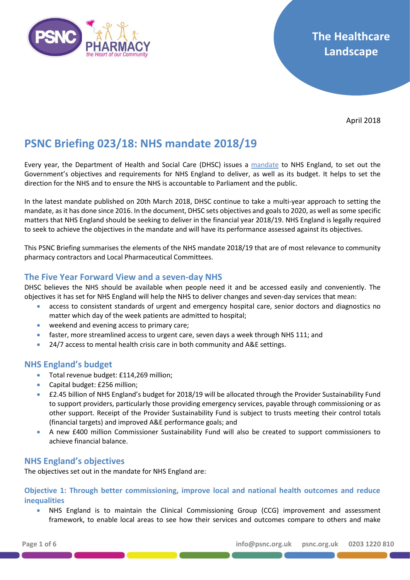

April 2018

# **PSNC Briefing 023/18: NHS mandate 2018/19**

Every year, the Department of Health and Social Care (DHSC) issues a [mandate](https://www.gov.uk/government/publications/nhs-mandate-2018-to-2019) to NHS England, to set out the Government's objectives and requirements for NHS England to deliver, as well as its budget. It helps to set the direction for the NHS and to ensure the NHS is accountable to Parliament and the public.

In the latest mandate published on 20th March 2018, DHSC continue to take a multi-year approach to setting the mandate, as it has done since 2016. In the document, DHSC sets objectives and goals to 2020, as well as some specific matters that NHS England should be seeking to deliver in the financial year 2018/19. NHS England is legally required to seek to achieve the objectives in the mandate and will have its performance assessed against its objectives.

This PSNC Briefing summarises the elements of the NHS mandate 2018/19 that are of most relevance to community pharmacy contractors and Local Pharmaceutical Committees.

## **The Five Year Forward View and a seven-day NHS**

DHSC believes the NHS should be available when people need it and be accessed easily and conveniently. The objectives it has set for NHS England will help the NHS to deliver changes and seven-day services that mean:

- access to consistent standards of urgent and emergency hospital care, senior doctors and diagnostics no matter which day of the week patients are admitted to hospital;
- weekend and evening access to primary care;
- faster, more streamlined access to urgent care, seven days a week through NHS 111; and
- 24/7 access to mental health crisis care in both community and A&E settings.

## **NHS England's budget**

- Total revenue budget: £114,269 million:
- Capital budget: £256 million;
- £2.45 billion of NHS England's budget for 2018/19 will be allocated through the Provider Sustainability Fund to support providers, particularly those providing emergency services, payable through commissioning or as other support. Receipt of the Provider Sustainability Fund is subject to trusts meeting their control totals (financial targets) and improved A&E performance goals; and
- A new £400 million Commissioner Sustainability Fund will also be created to support commissioners to achieve financial balance.

## **NHS England's objectives**

The objectives set out in the mandate for NHS England are:

**Objective 1: Through better commissioning, improve local and national health outcomes and reduce inequalities**

• NHS England is to maintain the Clinical Commissioning Group (CCG) improvement and assessment framework, to enable local areas to see how their services and outcomes compare to others and make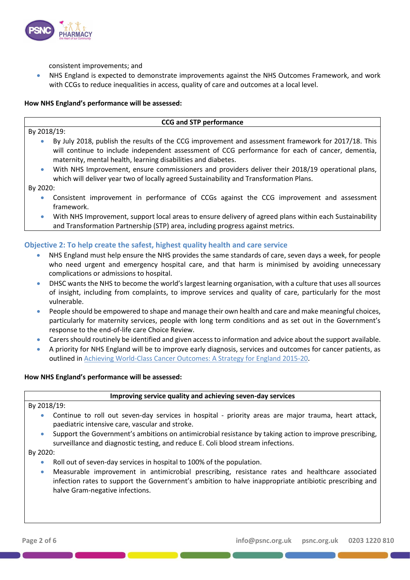

consistent improvements; and

• NHS England is expected to demonstrate improvements against the NHS Outcomes Framework, and work with CCGs to reduce inequalities in access, quality of care and outcomes at a local level.

#### **How NHS England's performance will be assessed:**

## By 2018/19:

# **CCG and STP performance**

- By July 2018, publish the results of the CCG improvement and assessment framework for 2017/18. This will continue to include independent assessment of CCG performance for each of cancer, dementia, maternity, mental health, learning disabilities and diabetes.
- With NHS Improvement, ensure commissioners and providers deliver their 2018/19 operational plans, which will deliver year two of locally agreed Sustainability and Transformation Plans.

By 2020:

- Consistent improvement in performance of CCGs against the CCG improvement and assessment framework.
- With NHS Improvement, support local areas to ensure delivery of agreed plans within each Sustainability and Transformation Partnership (STP) area, including progress against metrics.

## **Objective 2: To help create the safest, highest quality health and care service**

- NHS England must help ensure the NHS provides the same standards of care, seven days a week, for people who need urgent and emergency hospital care, and that harm is minimised by avoiding unnecessary complications or admissions to hospital.
- DHSC wants the NHS to become the world's largest learning organisation, with a culture that uses all sources of insight, including from complaints, to improve services and quality of care, particularly for the most vulnerable.
- People should be empowered to shape and manage their own health and care and make meaningful choices, particularly for maternity services, people with long term conditions and as set out in the Government's response to the end-of-life care Choice Review.
- Carers should routinely be identified and given access to information and advice about the support available.
- A priority for NHS England will be to improve early diagnosis, services and outcomes for cancer patients, as outlined in [Achieving World-Class Cancer Outcomes: A Strategy for England 2015-20.](https://www.england.nhs.uk/publication/achieving-world-class-cancer-outcomes/)

## **How NHS England's performance will be assessed:**

## **Improving service quality and achieving seven-day services**

By 2018/19:

- Continue to roll out seven-day services in hospital priority areas are major trauma, heart attack, paediatric intensive care, vascular and stroke.
- Support the Government's ambitions on antimicrobial resistance by taking action to improve prescribing, surveillance and diagnostic testing, and reduce E. Coli blood stream infections.

By 2020:

- Roll out of seven-day services in hospital to 100% of the population.
- Measurable improvement in antimicrobial prescribing, resistance rates and healthcare associated infection rates to support the Government's ambition to halve inappropriate antibiotic prescribing and halve Gram-negative infections.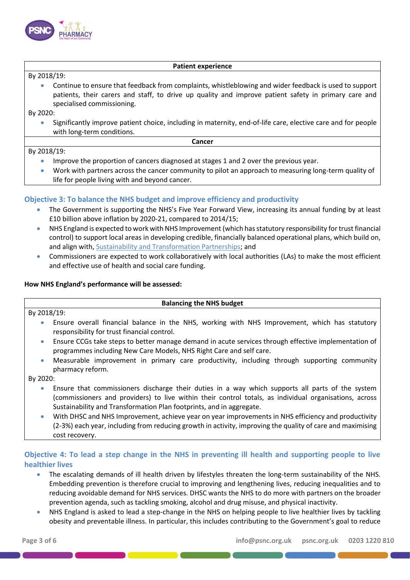

#### **Patient experience**

By 2018/19:

• Continue to ensure that feedback from complaints, whistleblowing and wider feedback is used to support patients, their carers and staff, to drive up quality and improve patient safety in primary care and specialised commissioning.

By 2020:

• Significantly improve patient choice, including in maternity, end-of-life care, elective care and for people with long-term conditions.

**Cancer**

#### By 2018/19:

- Improve the proportion of cancers diagnosed at stages 1 and 2 over the previous year.
- Work with partners across the cancer community to pilot an approach to measuring long-term quality of life for people living with and beyond cancer.

## **Objective 3: To balance the NHS budget and improve efficiency and productivity**

- The Government is supporting the NHS's Five Year Forward View, increasing its annual funding by at least £10 billion above inflation by 2020-21, compared to 2014/15;
- NHS England is expected to work with NHS Improvement (which has statutory responsibility for trust financial control) to support local areas in developing credible, financially balanced operational plans, which build on, and align with[, Sustainability and Transformation Partnerships;](http://psnc.org.uk/the-healthcare-landscape/sustainability-and-transformation-plans/) and
- Commissioners are expected to work collaboratively with local authorities (LAs) to make the most efficient and effective use of health and social care funding.

#### **How NHS England's performance will be assessed:**

#### **Balancing the NHS budget**

By 2018/19:

- Ensure overall financial balance in the NHS, working with NHS Improvement, which has statutory responsibility for trust financial control.
- Ensure CCGs take steps to better manage demand in acute services through effective implementation of programmes including New Care Models, NHS Right Care and self care.
- Measurable improvement in primary care productivity, including through supporting community pharmacy reform.

By 2020:

- Ensure that commissioners discharge their duties in a way which supports all parts of the system (commissioners and providers) to live within their control totals, as individual organisations, across Sustainability and Transformation Plan footprints, and in aggregate.
- With DHSC and NHS Improvement, achieve year on year improvements in NHS efficiency and productivity (2-3%) each year, including from reducing growth in activity, improving the quality of care and maximising cost recovery.

## **Objective 4: To lead a step change in the NHS in preventing ill health and supporting people to live healthier lives**

- The escalating demands of ill health driven by lifestyles threaten the long-term sustainability of the NHS. Embedding prevention is therefore crucial to improving and lengthening lives, reducing inequalities and to reducing avoidable demand for NHS services. DHSC wants the NHS to do more with partners on the broader prevention agenda, such as tackling smoking, alcohol and drug misuse, and physical inactivity.
- NHS England is asked to lead a step-change in the NHS on helping people to live healthier lives by tackling obesity and preventable illness. In particular, this includes contributing to the Government's goal to reduce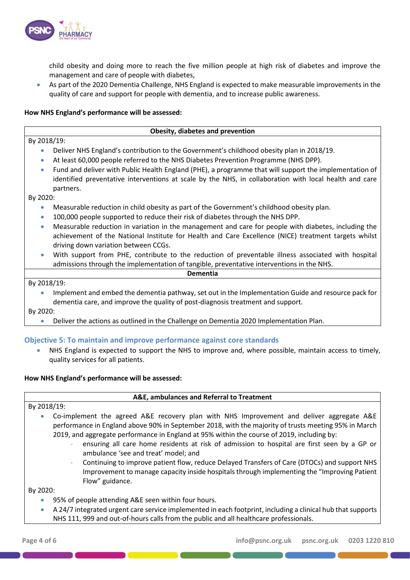

child obesity and doing more to reach the five million people at high risk of diabetes and improve the management and care of people with diabetes,

• As part of the 2020 Dementia Challenge, NHS England is expected to make measurable improvements in the quality of care and support for people with dementia, and to increase public awareness.

**Obesity, diabetes and prevention**

#### **How NHS England's performance will be assessed:**

## By 2018/19: • Deliver NHS England's contribution to the Government's childhood obesity plan in 2018/19. • At least 60,000 people referred to the NHS Diabetes Prevention Programme (NHS DPP). • Fund and deliver with Public Health England (PHE), a programme that will support the implementation of identified preventative interventions at scale by the NHS, in collaboration with local health and care partners. By 2020: • Measurable reduction in child obesity as part of the Government's childhood obesity plan. • 100,000 people supported to reduce their risk of diabetes through the NHS DPP. • Measurable reduction in variation in the management and care for people with diabetes, including the achievement of the National Institute for Health and Care Excellence (NICE) treatment targets whilst driving down variation between CCGs. • With support from PHE, contribute to the reduction of preventable illness associated with hospital admissions through the implementation of tangible, preventative interventions in the NHS. **Dementia** By 2018/19: • Implement and embed the dementia pathway, set out in the Implementation Guide and resource pack for dementia care, and improve the quality of post-diagnosis treatment and support.

By 2020:

• Deliver the actions as outlined in the Challenge on Dementia 2020 Implementation Plan.

## **Objective 5: To maintain and improve performance against core standards**

NHS England is expected to support the NHS to improve and, where possible, maintain access to timely, quality services for all patients.

## **How NHS England's performance will be assessed:**

## **A&E, ambulances and Referral to Treatment**

By 2018/19:

- Co-implement the agreed A&E recovery plan with NHS Improvement and deliver aggregate A&E performance in England above 90% in September 2018, with the majority of trusts meeting 95% in March 2019, and aggregate performance in England at 95% within the course of 2019, including by:
	- ensuring all care home residents at risk of admission to hospital are first seen by a GP or ambulance 'see and treat' model; and
	- Continuing to improve patient flow, reduce Delayed Transfers of Care (DTOCs) and support NHS Improvement to manage capacity inside hospitals through implementing the "Improving Patient Flow" guidance.

By 2020:

- 95% of people attending A&E seen within four hours.
- A 24/7 integrated urgent care service implemented in each footprint, including a clinical hub that supports NHS 111, 999 and out-of-hours calls from the public and all healthcare professionals.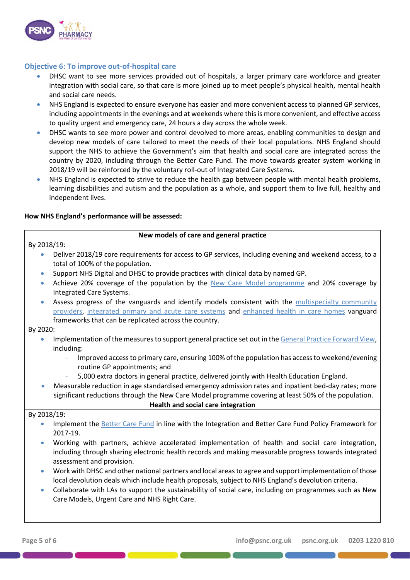

## **Objective 6: To improve out-of-hospital care**

- DHSC want to see more services provided out of hospitals, a larger primary care workforce and greater integration with social care, so that care is more joined up to meet people's physical health, mental health and social care needs.
- NHS England is expected to ensure everyone has easier and more convenient access to planned GP services, including appointments in the evenings and at weekends where this is more convenient, and effective access to quality urgent and emergency care, 24 hours a day across the whole week.
- DHSC wants to see more power and control devolved to more areas, enabling communities to design and develop new models of care tailored to meet the needs of their local populations. NHS England should support the NHS to achieve the Government's aim that health and social care are integrated across the country by 2020, including through the Better Care Fund. The move towards greater system working in 2018/19 will be reinforced by the voluntary roll-out of Integrated Care Systems.
- NHS England is expected to strive to reduce the health gap between people with mental health problems, learning disabilities and autism and the population as a whole, and support them to live full, healthy and independent lives.

## **How NHS England's performance will be assessed:**

## **New models of care and general practice** By 2018/19: • Deliver 2018/19 core requirements for access to GP services, including evening and weekend access, to a total of 100% of the population. • Support NHS Digital and DHSC to provide practices with clinical data by named GP. • Achieve 20% coverage of the population by the [New Care Model programme](http://psnc.org.uk/the-healthcare-landscape/new-models-of-care-vanguard-sites/) and 20% coverage by Integrated Care Systems. • Assess progress of the vanguards and identify models consistent with the multispecialty community [providers,](http://psnc.org.uk/the-healthcare-landscape/psnc-briefings-the-healthcare-landscape/psnc-briefing-04516-an-introduction-to-multispecialty-community-providers-mcps-and-the-emerging-contract-framework/) [integrated primary and acute care systems](http://psnc.org.uk/the-healthcare-landscape/psnc-briefings-the-healthcare-landscape/psnc-briefing-05016-integrated-primary-and-acute-care-systems-pacs-describing-the-care-model-and-the-business-model-october-2016/) and [enhanced health in care homes](http://psnc.org.uk/the-healthcare-landscape/psnc-briefings-the-healthcare-landscape/psnc-briefing-05516-the-enhanced-health-in-care-homes-care-model-october-2016/) vanguard frameworks that can be replicated across the country. By 2020: Implementation of the measures to support general practice set out in th[e General Practice Forward View,](http://psnc.org.uk/the-healthcare-landscape/psnc-briefings-the-healthcare-landscape/psnc-briefing-02716-general-practice-forward-view/) including: - Improved access to primary care, ensuring 100% of the population has access to weekend/evening routine GP appointments; and - 5,000 extra doctors in general practice, delivered jointly with Health Education England. • Measurable reduction in age standardised emergency admission rates and inpatient bed-day rates; more significant reductions through the New Care Model programme covering at least 50% of the population. **Health and social care integration** By 2018/19: Implement the [Better Care Fund](http://psnc.org.uk/the-healthcare-landscape/better-care-fund/) in line with the Integration and Better Care Fund Policy Framework for 2017-19. • Working with partners, achieve accelerated implementation of health and social care integration, including through sharing electronic health records and making measurable progress towards integrated assessment and provision. • Work with DHSC and other national partners and local areas to agree and support implementation of those local devolution deals which include health proposals, subject to NHS England's devolution criteria. • Collaborate with LAs to support the sustainability of social care, including on programmes such as New Care Models, Urgent Care and NHS Right Care.